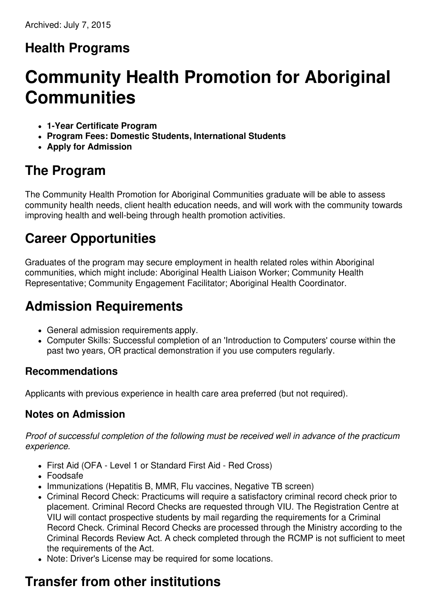# **Health Programs**

# **Community Health Promotion for Aboriginal Communities**

- **1-Year Certificate Program**
- **Program Fees: Domestic Students, International Students**
- **Apply for Admission**

### **The Program**

The Community Health Promotion for Aboriginal Communities graduate will be able to assess community health needs, client health education needs, and will work with the community towards improving health and well-being through health promotion activities.

# **Career Opportunities**

Graduates of the program may secure employment in health related roles within Aboriginal communities, which might include: Aboriginal Health Liaison Worker; Community Health Representative; Community Engagement Facilitator; Aboriginal Health Coordinator.

# **Admission Requirements**

- General admission requirements apply.
- Computer Skills: Successful completion of an 'Introduction to Computers' course within the past two years, OR practical demonstration if you use computers regularly.

#### **Recommendations**

Applicants with previous experience in health care area preferred (but not required).

#### **Notes on Admission**

*Proof of successful completion of the following must be received well in advance of the practicum experience.*

- First Aid (OFA Level 1 or Standard First Aid Red Cross)
- Foodsafe
- Immunizations (Hepatitis B, MMR, Flu vaccines, Negative TB screen)
- Criminal Record Check: Practicums will require a satisfactory criminal record check prior to placement. Criminal Record Checks are requested through VIU. The Registration Centre at VIU will contact prospective students by mail regarding the requirements for a Criminal Record Check. Criminal Record Checks are processed through the Ministry according to the Criminal Records Review Act. A check completed through the RCMP is not sufficient to meet the requirements of the Act.
- Note: Driver's License may be required for some locations.

# **Transfer from other institutions**